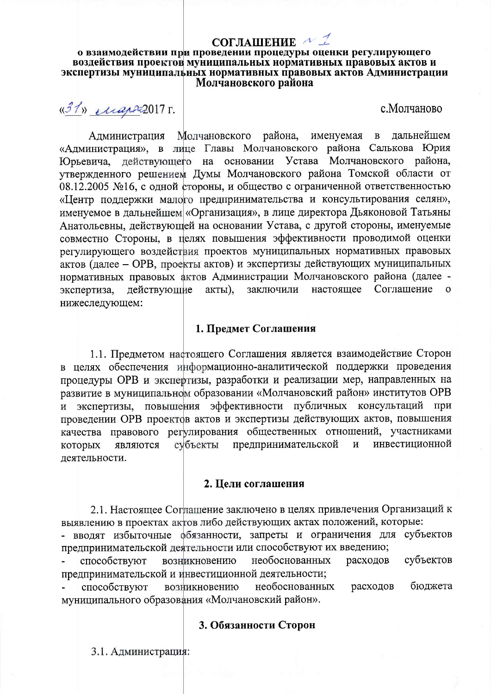# СОГЛАШЕНИЕ № 1

#### о взаимодействии при проведении процедуры оценки регулирующего воздействия проектов муниципальных нормативных правовых актов и экспертизы муниципальных нормативных правовых актов Администрации Молчановского района

 $\frac{137}{N}$  *Map* 2017 г.

с. Молчаново

Администрация Молчановского района, именуемая лальнейшем  $\mathbf{B}$ «Администрация», в лице Главы Молчановского района Салькова Юрия Юрьевича, действующего на основании Устава Молчановского района, утвержденного решением Думы Молчановского района Томской области от 08.12.2005 №16, с одной стороны, и общество с ограниченной ответственностью «Центр поддержки малого предпринимательства и консультирования селян», именуемое в дальнейшем «Организация», в лице директора Дьяконовой Татьяны Анатольевны, действующей на основании Устава, с другой стороны, именуемые совместно Стороны, в целях повышения эффективности проводимой оценки регулирующего воздействия проектов муниципальных нормативных правовых актов (далее - ОРВ, проекты актов) и экспертизы действующих муниципальных нормативных правовых актов Администрации Молчановского района (далее заключили Соглашение действующие акты), настоящее экспертиза, нижеследующем:

## 1. Предмет Соглашения

1.1. Предметом настоящего Соглашения является взаимодействие Сторон в целях обеспечения информационно-аналитической поддержки проведения процедуры ОРВ и экспертизы, разработки и реализации мер, направленных на развитие в муниципальном образовании «Молчановский район» институтов ОРВ и экспертизы, повышения эффективности публичных консультаций при проведении ОРВ проектов актов и экспертизы действующих актов, повышения качества правового регулирования общественных отношений, участниками субъекты предпринимательской инвестиционной которых являются  $\, {\bf N}$ деятельности.

# 2. Цели соглашения

2.1. Настоящее Соглашение заключено в целях привлечения Организаций к выявлению в проектах актов либо действующих актах положений, которые:

- вводят избыточные фбязанности, запреты и ограничения для субъектов предпринимательской деятельности или способствуют их введению;

расходов субъектов способствуют необоснованных возникновению предпринимательской и инвестиционной деятельности;

бюджета возникновению необоснованных расходов способствуют муниципального образования «Молчановский район».

### 3. Обязанности Сторон

3.1. Администрация: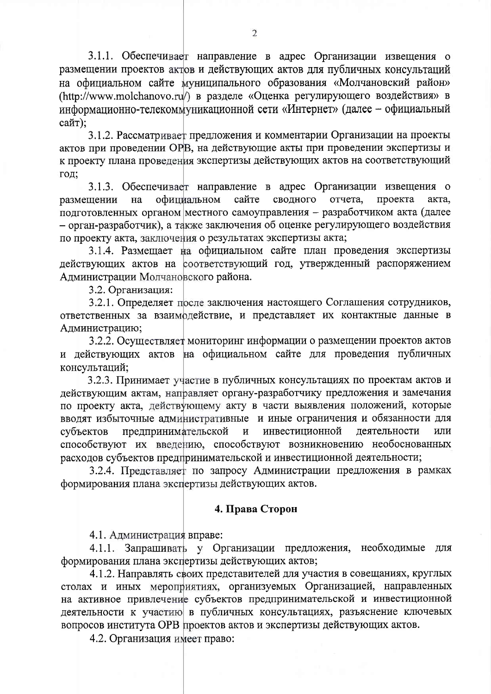3.1.1. Обеспечивает направление в адрес Организации извещения о размещении проектов актов и действующих актов для публичных консультаций на официальном сайте муниципального образования «Молчановский район» (http://www.molchanovo.ru/) в разделе «Оценка регулирующего воздействия» в информационно-телекоммуникационной сети «Интернет» (далее - официальный сайт):

3.1.2. Рассматривает предложения и комментарии Организации на проекты актов при проведении ОРВ, на действующие акты при проведении экспертизы и к проекту плана проведения экспертизы действующих актов на соответствующий год;

3.1.3. Обеспечивает направление в адрес Организации извещения о сайте сводного официальном отчета. проекта на акта, размещении подготовленных органом местного самоуправления - разработчиком акта (далее - орган-разработчик), а также заключения об оценке регулирующего воздействия по проекту акта, заключения о результатах экспертизы акта;

3.1.4. Размещает на официальном сайте план проведения экспертизы действующих актов на соответствующий год, утвержденный распоряжением Администрации Молчановского района.

3.2. Организация:

3.2.1. Определяет после заключения настоящего Соглашения сотрудников, ответственных за взаимодействие, и представляет их контактные данные в Администрацию;

3.2.2. Осуществляет мониторинг информации о размещении проектов актов и действующих актов на официальном сайте для проведения публичных консультаций;

3.2.3. Принимает участие в публичных консультациях по проектам актов и действующим актам, направляет органу-разработчику предложения и замечания по проекту акта, действующему акту в части выявления положений, которые вводят избыточные административные и иные ограничения и обязанности для предпринимательской инвестиционной леятельности или субъектов  $\mathbf H$ способствуют их введению, способствуют возникновению необоснованных расходов субъектов предпринимательской и инвестиционной деятельности;

3.2.4. Представляет по запросу Администрации предложения в рамках формирования плана экспертизы действующих актов.

## 4. Права Сторон

4.1. Администрация вправе:

4.1.1. Запрашивать у Организации предложения, необходимые для формирования плана экспертизы действующих актов;

4.1.2. Направлять своих представителей для участия в совещаниях, круглых столах и иных мероприятиях, организуемых Организацией, направленных на активное привлечение субъектов предпринимательской и инвестиционной деятельности к участию в публичных консультациях, разъяснение ключевых вопросов института ОРВ проектов актов и экспертизы действующих актов.

4.2. Организация имеет право: